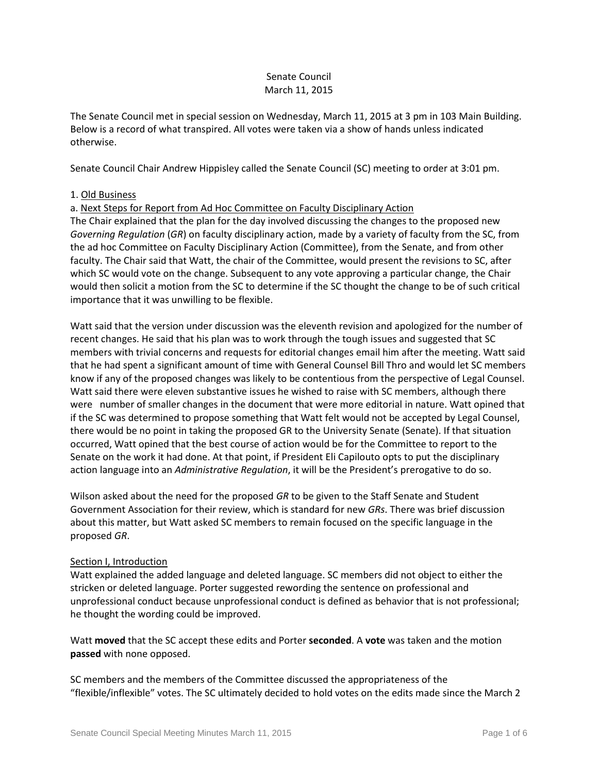# Senate Council March 11, 2015

The Senate Council met in special session on Wednesday, March 11, 2015 at 3 pm in 103 Main Building. Below is a record of what transpired. All votes were taken via a show of hands unless indicated otherwise.

Senate Council Chair Andrew Hippisley called the Senate Council (SC) meeting to order at 3:01 pm.

# 1. Old Business

a. Next Steps for Report from Ad Hoc Committee on Faculty Disciplinary Action

The Chair explained that the plan for the day involved discussing the changes to the proposed new *Governing Regulation* (*GR*) on faculty disciplinary action, made by a variety of faculty from the SC, from the ad hoc Committee on Faculty Disciplinary Action (Committee), from the Senate, and from other faculty. The Chair said that Watt, the chair of the Committee, would present the revisions to SC, after which SC would vote on the change. Subsequent to any vote approving a particular change, the Chair would then solicit a motion from the SC to determine if the SC thought the change to be of such critical importance that it was unwilling to be flexible.

Watt said that the version under discussion was the eleventh revision and apologized for the number of recent changes. He said that his plan was to work through the tough issues and suggested that SC members with trivial concerns and requests for editorial changes email him after the meeting. Watt said that he had spent a significant amount of time with General Counsel Bill Thro and would let SC members know if any of the proposed changes was likely to be contentious from the perspective of Legal Counsel. Watt said there were eleven substantive issues he wished to raise with SC members, although there were number of smaller changes in the document that were more editorial in nature. Watt opined that if the SC was determined to propose something that Watt felt would not be accepted by Legal Counsel, there would be no point in taking the proposed GR to the University Senate (Senate). If that situation occurred, Watt opined that the best course of action would be for the Committee to report to the Senate on the work it had done. At that point, if President Eli Capilouto opts to put the disciplinary action language into an *Administrative Regulation*, it will be the President's prerogative to do so.

Wilson asked about the need for the proposed *GR* to be given to the Staff Senate and Student Government Association for their review, which is standard for new *GRs*. There was brief discussion about this matter, but Watt asked SC members to remain focused on the specific language in the proposed *GR*.

# Section I, Introduction

Watt explained the added language and deleted language. SC members did not object to either the stricken or deleted language. Porter suggested rewording the sentence on professional and unprofessional conduct because unprofessional conduct is defined as behavior that is not professional; he thought the wording could be improved.

Watt **moved** that the SC accept these edits and Porter **seconded**. A **vote** was taken and the motion **passed** with none opposed.

SC members and the members of the Committee discussed the appropriateness of the "flexible/inflexible" votes. The SC ultimately decided to hold votes on the edits made since the March 2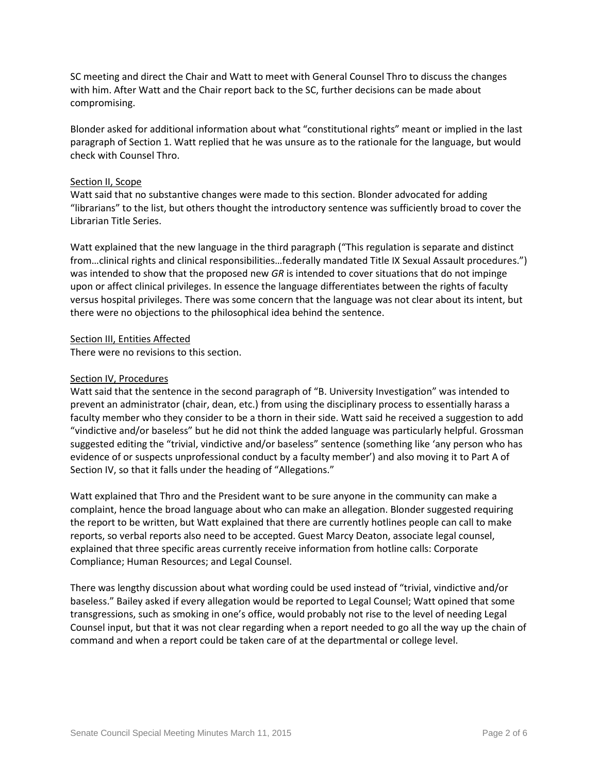SC meeting and direct the Chair and Watt to meet with General Counsel Thro to discuss the changes with him. After Watt and the Chair report back to the SC, further decisions can be made about compromising.

Blonder asked for additional information about what "constitutional rights" meant or implied in the last paragraph of Section 1. Watt replied that he was unsure as to the rationale for the language, but would check with Counsel Thro.

### Section II, Scope

Watt said that no substantive changes were made to this section. Blonder advocated for adding "librarians" to the list, but others thought the introductory sentence was sufficiently broad to cover the Librarian Title Series.

Watt explained that the new language in the third paragraph ("This regulation is separate and distinct from…clinical rights and clinical responsibilities…federally mandated Title IX Sexual Assault procedures.") was intended to show that the proposed new *GR* is intended to cover situations that do not impinge upon or affect clinical privileges. In essence the language differentiates between the rights of faculty versus hospital privileges. There was some concern that the language was not clear about its intent, but there were no objections to the philosophical idea behind the sentence.

## Section III, Entities Affected

There were no revisions to this section.

## Section IV, Procedures

Watt said that the sentence in the second paragraph of "B. University Investigation" was intended to prevent an administrator (chair, dean, etc.) from using the disciplinary process to essentially harass a faculty member who they consider to be a thorn in their side. Watt said he received a suggestion to add "vindictive and/or baseless" but he did not think the added language was particularly helpful. Grossman suggested editing the "trivial, vindictive and/or baseless" sentence (something like 'any person who has evidence of or suspects unprofessional conduct by a faculty member') and also moving it to Part A of Section IV, so that it falls under the heading of "Allegations."

Watt explained that Thro and the President want to be sure anyone in the community can make a complaint, hence the broad language about who can make an allegation. Blonder suggested requiring the report to be written, but Watt explained that there are currently hotlines people can call to make reports, so verbal reports also need to be accepted. Guest Marcy Deaton, associate legal counsel, explained that three specific areas currently receive information from hotline calls: Corporate Compliance; Human Resources; and Legal Counsel.

There was lengthy discussion about what wording could be used instead of "trivial, vindictive and/or baseless." Bailey asked if every allegation would be reported to Legal Counsel; Watt opined that some transgressions, such as smoking in one's office, would probably not rise to the level of needing Legal Counsel input, but that it was not clear regarding when a report needed to go all the way up the chain of command and when a report could be taken care of at the departmental or college level.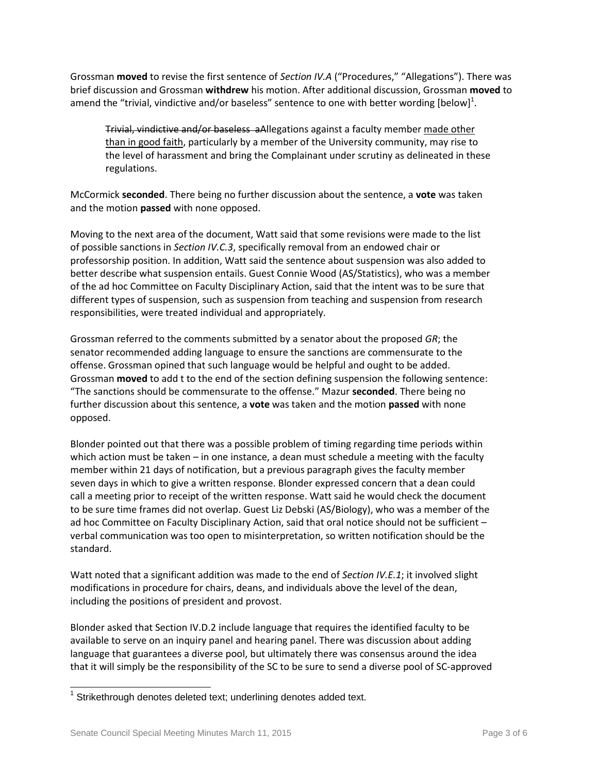Grossman **moved** to revise the first sentence of *Section IV.A* ("Procedures," "Allegations"). There was brief discussion and Grossman **withdrew** his motion. After additional discussion, Grossman **moved** to amend the "trivial, vindictive and/or baseless" sentence to one with better wording [below]<sup>1</sup>.

Trivial, vindictive and/or baseless aAllegations against a faculty member made other than in good faith, particularly by a member of the University community, may rise to the level of harassment and bring the Complainant under scrutiny as delineated in these regulations.

McCormick **seconded**. There being no further discussion about the sentence, a **vote** was taken and the motion **passed** with none opposed.

Moving to the next area of the document, Watt said that some revisions were made to the list of possible sanctions in *Section IV.C.3*, specifically removal from an endowed chair or professorship position. In addition, Watt said the sentence about suspension was also added to better describe what suspension entails. Guest Connie Wood (AS/Statistics), who was a member of the ad hoc Committee on Faculty Disciplinary Action, said that the intent was to be sure that different types of suspension, such as suspension from teaching and suspension from research responsibilities, were treated individual and appropriately.

Grossman referred to the comments submitted by a senator about the proposed *GR*; the senator recommended adding language to ensure the sanctions are commensurate to the offense. Grossman opined that such language would be helpful and ought to be added. Grossman **moved** to add t to the end of the section defining suspension the following sentence: "The sanctions should be commensurate to the offense." Mazur **seconded**. There being no further discussion about this sentence, a **vote** was taken and the motion **passed** with none opposed.

Blonder pointed out that there was a possible problem of timing regarding time periods within which action must be taken – in one instance, a dean must schedule a meeting with the faculty member within 21 days of notification, but a previous paragraph gives the faculty member seven days in which to give a written response. Blonder expressed concern that a dean could call a meeting prior to receipt of the written response. Watt said he would check the document to be sure time frames did not overlap. Guest Liz Debski (AS/Biology), who was a member of the ad hoc Committee on Faculty Disciplinary Action, said that oral notice should not be sufficient – verbal communication was too open to misinterpretation, so written notification should be the standard.

Watt noted that a significant addition was made to the end of *Section IV.E.1*; it involved slight modifications in procedure for chairs, deans, and individuals above the level of the dean, including the positions of president and provost.

Blonder asked that Section IV.D.2 include language that requires the identified faculty to be available to serve on an inquiry panel and hearing panel. There was discussion about adding language that guarantees a diverse pool, but ultimately there was consensus around the idea that it will simply be the responsibility of the SC to be sure to send a diverse pool of SC-approved

l  $1$  Strikethrough denotes deleted text; underlining denotes added text.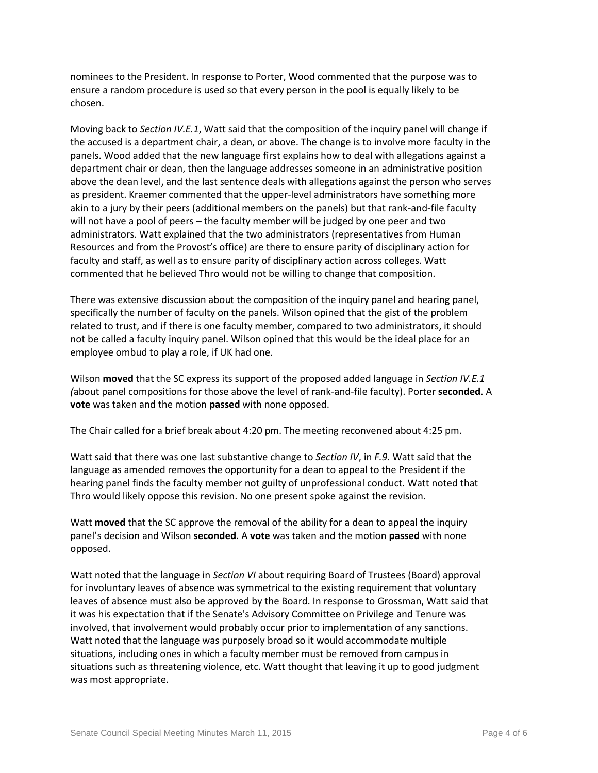nominees to the President. In response to Porter, Wood commented that the purpose was to ensure a random procedure is used so that every person in the pool is equally likely to be chosen.

Moving back to *Section IV.E.1*, Watt said that the composition of the inquiry panel will change if the accused is a department chair, a dean, or above. The change is to involve more faculty in the panels. Wood added that the new language first explains how to deal with allegations against a department chair or dean, then the language addresses someone in an administrative position above the dean level, and the last sentence deals with allegations against the person who serves as president. Kraemer commented that the upper-level administrators have something more akin to a jury by their peers (additional members on the panels) but that rank-and-file faculty will not have a pool of peers – the faculty member will be judged by one peer and two administrators. Watt explained that the two administrators (representatives from Human Resources and from the Provost's office) are there to ensure parity of disciplinary action for faculty and staff, as well as to ensure parity of disciplinary action across colleges. Watt commented that he believed Thro would not be willing to change that composition.

There was extensive discussion about the composition of the inquiry panel and hearing panel, specifically the number of faculty on the panels. Wilson opined that the gist of the problem related to trust, and if there is one faculty member, compared to two administrators, it should not be called a faculty inquiry panel. Wilson opined that this would be the ideal place for an employee ombud to play a role, if UK had one.

Wilson **moved** that the SC express its support of the proposed added language in *Section IV.E.1 (*about panel compositions for those above the level of rank-and-file faculty). Porter **seconded**. A **vote** was taken and the motion **passed** with none opposed.

The Chair called for a brief break about 4:20 pm. The meeting reconvened about 4:25 pm.

Watt said that there was one last substantive change to *Section IV*, in *F.9*. Watt said that the language as amended removes the opportunity for a dean to appeal to the President if the hearing panel finds the faculty member not guilty of unprofessional conduct. Watt noted that Thro would likely oppose this revision. No one present spoke against the revision.

Watt **moved** that the SC approve the removal of the ability for a dean to appeal the inquiry panel's decision and Wilson **seconded**. A **vote** was taken and the motion **passed** with none opposed.

Watt noted that the language in *Section VI* about requiring Board of Trustees (Board) approval for involuntary leaves of absence was symmetrical to the existing requirement that voluntary leaves of absence must also be approved by the Board. In response to Grossman, Watt said that it was his expectation that if the Senate's Advisory Committee on Privilege and Tenure was involved, that involvement would probably occur prior to implementation of any sanctions. Watt noted that the language was purposely broad so it would accommodate multiple situations, including ones in which a faculty member must be removed from campus in situations such as threatening violence, etc. Watt thought that leaving it up to good judgment was most appropriate.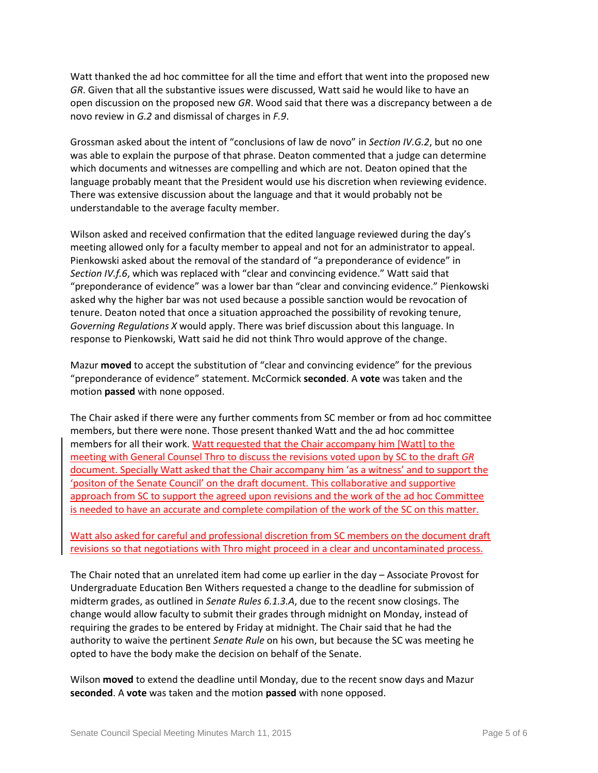Watt thanked the ad hoc committee for all the time and effort that went into the proposed new *GR*. Given that all the substantive issues were discussed, Watt said he would like to have an open discussion on the proposed new *GR*. Wood said that there was a discrepancy between a de novo review in *G.2* and dismissal of charges in *F.9*.

Grossman asked about the intent of "conclusions of law de novo" in *Section IV.G.2*, but no one was able to explain the purpose of that phrase. Deaton commented that a judge can determine which documents and witnesses are compelling and which are not. Deaton opined that the language probably meant that the President would use his discretion when reviewing evidence. There was extensive discussion about the language and that it would probably not be understandable to the average faculty member.

Wilson asked and received confirmation that the edited language reviewed during the day's meeting allowed only for a faculty member to appeal and not for an administrator to appeal. Pienkowski asked about the removal of the standard of "a preponderance of evidence" in *Section IV.f.6*, which was replaced with "clear and convincing evidence." Watt said that "preponderance of evidence" was a lower bar than "clear and convincing evidence." Pienkowski asked why the higher bar was not used because a possible sanction would be revocation of tenure. Deaton noted that once a situation approached the possibility of revoking tenure, *Governing Regulations X* would apply. There was brief discussion about this language. In response to Pienkowski, Watt said he did not think Thro would approve of the change.

Mazur **moved** to accept the substitution of "clear and convincing evidence" for the previous "preponderance of evidence" statement. McCormick **seconded**. A **vote** was taken and the motion **passed** with none opposed.

The Chair asked if there were any further comments from SC member or from ad hoc committee members, but there were none. Those present thanked Watt and the ad hoc committee members for all their work. Watt requested that the Chair accompany him [Watt] to the meeting with General Counsel Thro to discuss the revisions voted upon by SC to the draft *GR* document. Specially Watt asked that the Chair accompany him 'as a witness' and to support the 'positon of the Senate Council' on the draft document. This collaborative and supportive approach from SC to support the agreed upon revisions and the work of the ad hoc Committee is needed to have an accurate and complete compilation of the work of the SC on this matter.

Watt also asked for careful and professional discretion from SC members on the document draft revisions so that negotiations with Thro might proceed in a clear and uncontaminated process.

The Chair noted that an unrelated item had come up earlier in the day – Associate Provost for Undergraduate Education Ben Withers requested a change to the deadline for submission of midterm grades, as outlined in *Senate Rules 6.1.3.A*, due to the recent snow closings. The change would allow faculty to submit their grades through midnight on Monday, instead of requiring the grades to be entered by Friday at midnight. The Chair said that he had the authority to waive the pertinent *Senate Rule* on his own, but because the SC was meeting he opted to have the body make the decision on behalf of the Senate.

Wilson **moved** to extend the deadline until Monday, due to the recent snow days and Mazur **seconded**. A **vote** was taken and the motion **passed** with none opposed.